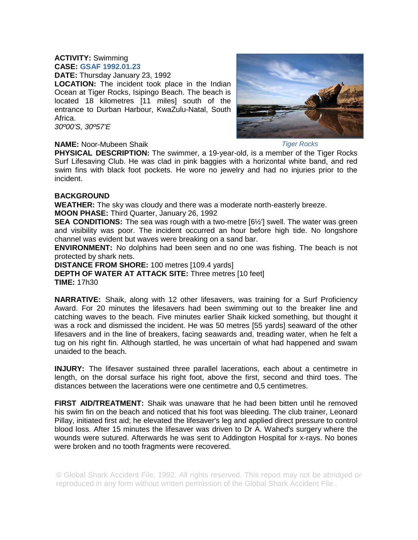## **ACTIVITY:** Swimming **CASE: GSAF 1992.01.23**

**DATE:** Thursday January 23, 1992

**LOCATION:** The incident took place in the Indian Ocean at Tiger Rocks, Isipingo Beach. The beach is located 18 kilometres [11 miles] south of the entrance to Durban Harbour, KwaZulu-Natal, South Africa.

*30º00'S, 30º57'E*

## **NAME:** Noor-Mubeen Shaik



*Tiger Rocks* 

**PHYSICAL DESCRIPTION:** The swimmer, a 19-year-old, is a member of the Tiger Rocks Surf Lifesaving Club. He was clad in pink baggies with a horizontal white band, and red swim fins with black foot pockets. He wore no jewelry and had no injuries prior to the incident.

## **BACKGROUND**

**WEATHER:** The sky was cloudy and there was a moderate north-easterly breeze.

**MOON PHASE:** Third Quarter, January 26, 1992

**SEA CONDITIONS:** The sea was rough with a two-metre [6½'] swell. The water was green and visibility was poor. The incident occurred an hour before high tide. No longshore channel was evident but waves were breaking on a sand bar.

**ENVIRONMENT:** No dolphins had been seen and no one was fishing. The beach is not protected by shark nets.

**DISTANCE FROM SHORE:** 100 metres [109.4 yards] **DEPTH OF WATER AT ATTACK SITE:** Three metres [10 feet] **TIME:** 17h30

**NARRATIVE:** Shaik, along with 12 other lifesavers, was training for a Surf Proficiency Award. For 20 minutes the lifesavers had been swimming out to the breaker line and catching waves to the beach. Five minutes earlier Shaik kicked something, but thought it was a rock and dismissed the incident. He was 50 metres [55 yards] seaward of the other lifesavers and in the line of breakers, facing seawards and, treading water, when he felt a tug on his right fin. Although startled, he was uncertain of what had happened and swam unaided to the beach.

**INJURY:** The lifesaver sustained three parallel lacerations, each about a centimetre in length, on the dorsal surface his right foot, above the first, second and third toes. The distances between the lacerations were one centimetre and 0,5 centimetres.

**FIRST AID/TREATMENT:** Shaik was unaware that he had been bitten until he removed his swim fin on the beach and noticed that his foot was bleeding. The club trainer, Leonard Pillay, initiated first aid; he elevated the lifesaver's leg and applied direct pressure to control blood loss. After 15 minutes the lifesaver was driven to Dr A. Wahed's surgery where the wounds were sutured. Afterwards he was sent to Addington Hospital for x-rays. No bones were broken and no tooth fragments were recovered.

© Global Shark Accident File, 1992. All rights reserved. This report may not be abridged or reproduced in any form without written permission of the Global Shark Accident File..